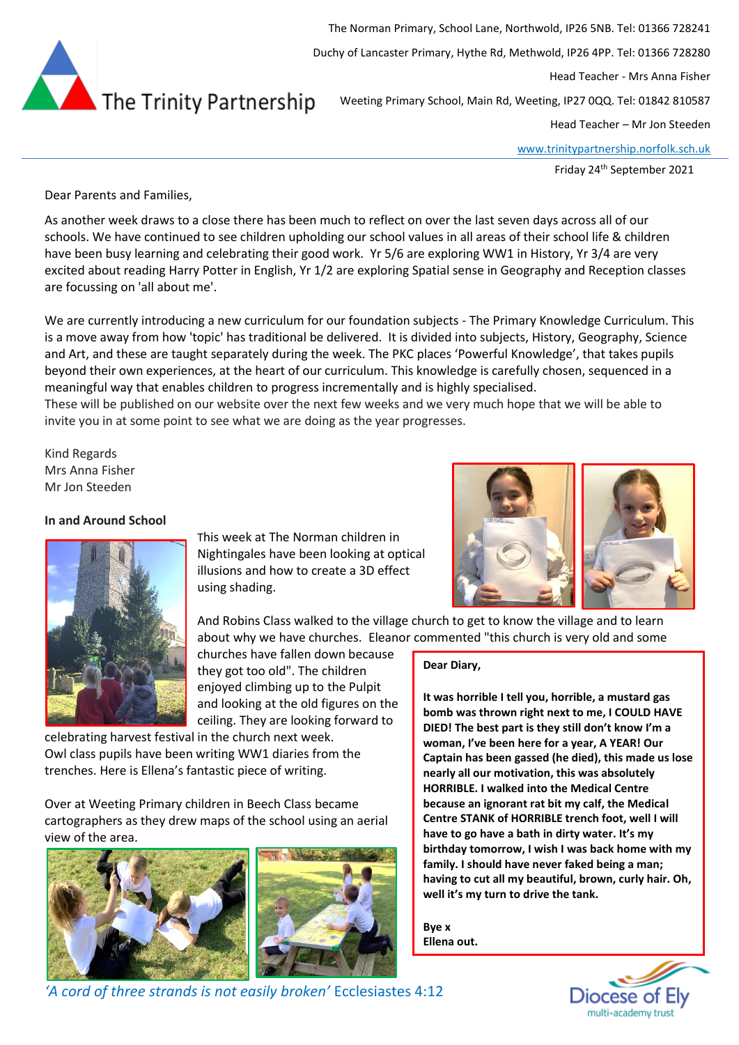

The Norman Primary, School Lane, Northwold, IP26 5NB. Tel: 01366 728241 Duchy of Lancaster Primary, Hythe Rd, Methwold, IP26 4PP. Tel: 01366 728280 Head Teacher - Mrs Anna Fisher Weeting Primary School, Main Rd, Weeting, IP27 0QQ. Tel: 01842 810587

Head Teacher – Mr Jon Steeden

[www.trinitypartnership.norfolk.sch.uk](http://www.trinitypartnership.norfolk.sch.uk/)

Friday 24th September 2021

Dear Parents and Families,

As another week draws to a close there has been much to reflect on over the last seven days across all of our schools. We have continued to see children upholding our school values in all areas of their school life & children have been busy learning and celebrating their good work. Yr 5/6 are exploring WW1 in History, Yr 3/4 are very excited about reading Harry Potter in English, Yr 1/2 are exploring Spatial sense in Geography and Reception classes are focussing on 'all about me'.

We are currently introducing a new curriculum for our foundation subjects - The Primary Knowledge Curriculum. This is a move away from how 'topic' has traditional be delivered. It is divided into subjects, History, Geography, Science and Art, and these are taught separately during the week. The PKC places 'Powerful Knowledge', that takes pupils beyond their own experiences, at the heart of our curriculum. This knowledge is carefully chosen, sequenced in a meaningful way that enables children to progress incrementally and is highly specialised.

These will be published on our website over the next few weeks and we very much hope that we will be able to invite you in at some point to see what we are doing as the year progresses.

Kind Regards Mrs Anna Fisher Mr Jon Steeden

## **In and Around School**



This week at The Norman children in Nightingales have been looking at optical illusions and how to create a 3D effect using shading.



And Robins Class walked to the village church to get to know the village and to learn about why we have churches. Eleanor commented "this church is very old and some

**Dear Diary,**

churches have fallen down because they got too old". The children enjoyed climbing up to the Pulpit and looking at the old figures on the ceiling. They are looking forward to

celebrating harvest festival in the church next week. Owl class pupils have been writing WW1 diaries from the trenches. Here is Ellena's fantastic piece of writing.

Over at Weeting Primary children in Beech Class became cartographers as they drew maps of the school using an aerial view of the area.



**woman, I've been here for a year, A YEAR! Our Captain has been gassed (he died), this made us lose nearly all our motivation, this was absolutely HORRIBLE. I walked into the Medical Centre because an ignorant rat bit my calf, the Medical Centre STANK of HORRIBLE trench foot, well I will have to go have a bath in dirty water. It's my** 

**It was horrible I tell you, horrible, a mustard gas bomb was thrown right next to me, I COULD HAVE DIED! The best part is they still don't know I'm a** 

**birthday tomorrow, I wish I was back home with my family. I should have never faked being a man; having to cut all my beautiful, brown, curly hair. Oh, well it's my turn to drive the tank.**

**Bye x Ellena out.**



*'A cord of three strands is not easily broken'* Ecclesiastes 4:12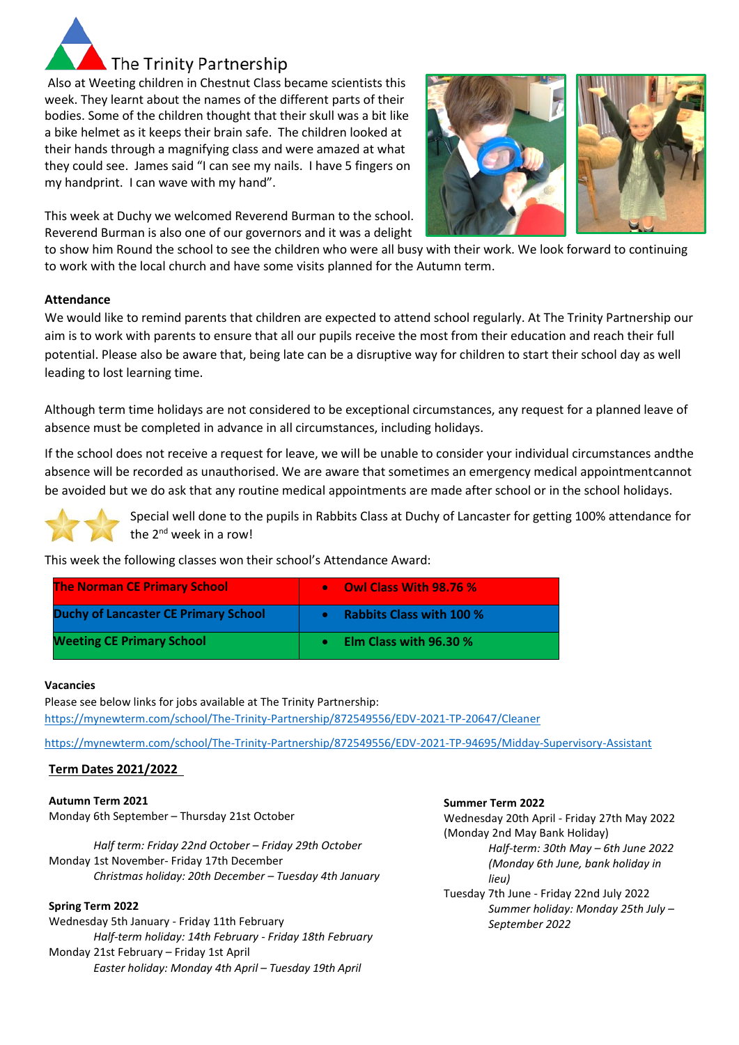

Also at Weeting children in Chestnut Class became scientists this week. They learnt about the names of the different parts of their bodies. Some of the children thought that their skull was a bit like a bike helmet as it keeps their brain safe. The children looked at their hands through a magnifying class and were amazed at what they could see. James said "I can see my nails. I have 5 fingers on my handprint. I can wave with my hand".

This week at Duchy we welcomed Reverend Burman to the school. Reverend Burman is also one of our governors and it was a delight



## **Attendance**

We would like to remind parents that children are expected to attend school regularly. At The Trinity Partnership our aim is to work with parents to ensure that all our pupils receive the most from their education and reach their full potential. Please also be aware that, being late can be a disruptive way for children to start their school day as well leading to lost learning time.

Although term time holidays are not considered to be exceptional circumstances, any request for a planned leave of absence must be completed in advance in all circumstances, including holidays.

If the school does not receive a request for leave, we will be unable to consider your individual circumstances andthe absence will be recorded as unauthorised. We are aware that sometimes an emergency medical appointmentcannot be avoided but we do ask that any routine medical appointments are made after school or in the school holidays.



Special well done to the pupils in Rabbits Class at Duchy of Lancaster for getting 100% attendance for the  $2^{nd}$  week in a row!

This week the following classes won their school's Attendance Award:

| <b>The Norman CE Primary School</b>         | <b>Owl Class With 98.76 %</b><br>$\bullet$ |
|---------------------------------------------|--------------------------------------------|
| <b>Duchy of Lancaster CE Primary School</b> | <b>Rabbits Class with 100 %</b>            |
| <b>Weeting CE Primary School</b>            | Elm Class with 96.30 %                     |

### **Vacancies**

Please see below links for jobs available at The Trinity Partnership: <https://mynewterm.com/school/The-Trinity-Partnership/872549556/EDV-2021-TP-20647/Cleaner>

<https://mynewterm.com/school/The-Trinity-Partnership/872549556/EDV-2021-TP-94695/Midday-Supervisory-Assistant>

# **Term Dates 2021/2022**

**Autumn Term 2021** Monday 6th September – Thursday 21st October

*Half term: Friday 22nd October – Friday 29th October* Monday 1st November- Friday 17th December *Christmas holiday: 20th December – Tuesday 4th January*

### **Spring Term 2022**

Wednesday 5th January - Friday 11th February *Half-term holiday: 14th February - Friday 18th February* Monday 21st February – Friday 1st April *Easter holiday: Monday 4th April – Tuesday 19th April*

### **Summer Term 2022**

Wednesday 20th April - Friday 27th May 2022 (Monday 2nd May Bank Holiday) *Half-term: 30th May – 6th June 2022 (Monday 6th June, bank holiday in lieu)* Tuesday 7th June - Friday 22nd July 2022 *Summer holiday: Monday 25th July – September 2022*